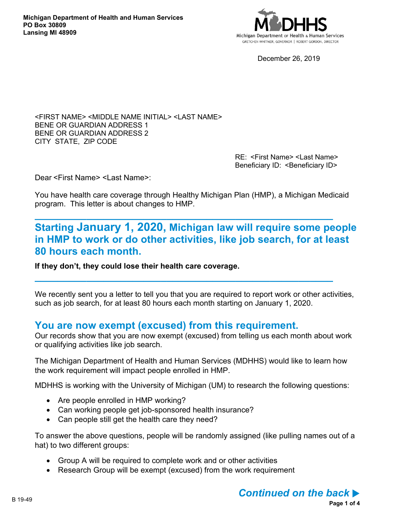

December 26, 2019

<FIRST NAME> <MIDDLE NAME INITIAL> <LAST NAME> BENE OR GUARDIAN ADDRESS 1 BENE OR GUARDIAN ADDRESS 2 CITY STATE, ZIP CODE

> RE: <First Name> <Last Name> Beneficiary ID: < Beneficiary ID>

Dear <First Name> <Last Name>:

You have health care coverage through Healthy Michigan Plan (HMP), a Michigan Medicaid program. This letter is about changes to HMP.

**\_\_\_\_\_\_\_\_\_\_\_\_\_\_\_\_\_\_\_\_\_\_\_\_\_\_\_\_\_\_\_\_\_\_\_\_\_\_\_\_\_\_\_\_\_\_\_\_\_\_\_\_**

**\_\_\_\_\_\_\_\_\_\_\_\_\_\_\_\_\_\_\_\_\_\_\_\_\_\_\_\_\_\_\_\_\_\_\_\_\_\_\_\_\_\_\_\_\_\_\_\_\_\_\_\_**

# **Starting January 1, 2020, Michigan law will require some people in HMP to work or do other activities, like job search, for at least 80 hours each month.**

**If they don't, they could lose their health care coverage.**

We recently sent you a letter to tell you that you are required to report work or other activities, such as job search, for at least 80 hours each month starting on January 1, 2020.

## **You are now exempt (excused) from this requirement.**

Our records show that you are now exempt (excused) from telling us each month about work or qualifying activities like job search.

The Michigan Department of Health and Human Services (MDHHS) would like to learn how the work requirement will impact people enrolled in HMP.

MDHHS is working with the University of Michigan (UM) to research the following questions:

- Are people enrolled in HMP working?
- Can working people get job-sponsored health insurance?
- Can people still get the health care they need?

To answer the above questions, people will be randomly assigned (like pulling names out of a hat) to two different groups:

- Group A will be required to complete work and or other activities
- Research Group will be exempt (excused) from the work requirement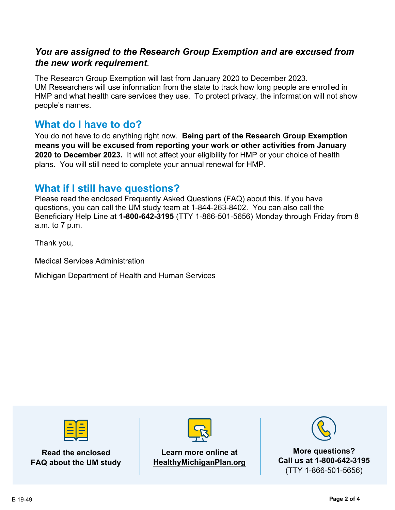## *You are assigned to the Research Group Exemption and are excused from the new work requirement*.

The Research Group Exemption will last from January 2020 to December 2023. UM Researchers will use information from the state to track how long people are enrolled in HMP and what health care services they use. To protect privacy, the information will not show people's names.

# **What do I have to do?**

You do not have to do anything right now. **Being part of the Research Group Exemption means you will be excused from reporting your work or other activities from January 2020 to December 2023.** It will not affect your eligibility for HMP or your choice of health plans. You will still need to complete your annual renewal for HMP.

# **What if I still have questions?**

Please read the enclosed Frequently Asked Questions (FAQ) about this. If you have questions, you can call the UM study team at 1-844-263-8402. You can also call the Beneficiary Help Line at **1-800-642-3195** (TTY 1-866-501-5656) Monday through Friday from 8 a.m. to 7 p.m.

Thank you,

Medical Services Administration

Michigan Department of Health and Human Services



**Read the enclosed FAQ about the UM study**



### **Learn more online at HealthyMichiganPlan.org**



**More questions? Call us at 1-800-642-3195** (TTY 1-866-501-5656)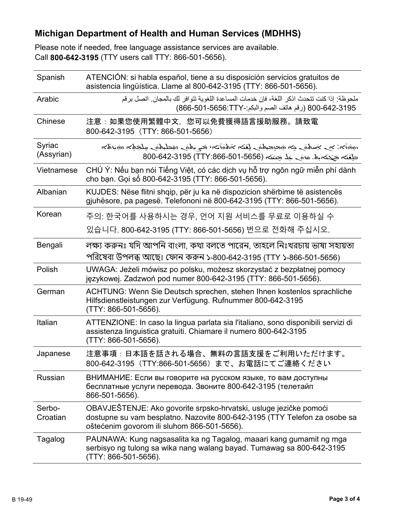# **Michigan Department of Health and Human Services (MDHHS)**

Please note if needed, free language assistance services are available. Call **800-642-3195** (TTY users call TTY: 866-501-5656).

| Spanish              | ATENCIÓN: si habla español, tiene a su disposición servicios gratuitos de<br>asistencia lingüística. Llame al 800-642-3195 (TTY: 866-501-5656).                                               |
|----------------------|-----------------------------------------------------------------------------------------------------------------------------------------------------------------------------------------------|
| Arabic               | ملحوظة· إذا كنت تتحدث اذكر اللغة، فإن خدمات المساعدة اللغوية تتو افر لك بالمجان. اتصل بر قم<br>800-642-3195 (رقم هاتف الصم والبكم:-8656:TTY) (866-501-866)                                    |
| Chinese              | 注意:如果您使用繁體中文,您可以免費獲得語言援助服務。請致電<br>800-642-3195 (TTY: 866-501-5656)                                                                                                                            |
| Syriac<br>(Assyrian) | הלה והוא הלאשל של הלחלות המלח המילה להלחה המשל המלחמים המלחמים המשל המילה המ<br>حلِعَنَه جَحَمَ بِهِ. مَوْمَ حَدْ جِئَتَهِ (705-501-5656-800-642-3195) 800-642                                |
| Vietnamese           | CHÚ Ý: Nếu bạn nói Tiếng Việt, có các dịch vụ hỗ trợ ngôn ngữ miễn phí dành<br>cho bạn. Gọi số 800-642-3195 (TTY: 866-501-5656).                                                              |
| Albanian             | KUJDES: Nëse flitni shqip, për ju ka në dispozicion shërbime të asistencës<br>gjuhësore, pa pagesë. Telefononi në 800-642-3195 (TTY: 866-501-5656).                                           |
| Korean               | 주의: 한국어를 사용하시는 경우, 언어 지원 서비스를 무료로 이용하실 수                                                                                                                                                      |
|                      | 있습니다. 800-642-3195 (TTY: 866-501-5656) 번으로 전화해 주십시오.                                                                                                                                          |
| Bengali              | লক্ষ্য করুনঃ যদি আপনি বাংলা, কথা বলতে পারেন, তাহলে নিঃখরচায় ভাষা সহায়তা<br>পরিষেবা উপলব্ধ আছে। ফোন করুন ১-800-642-3195 (TTY ১-866-501-5656)                                                 |
| Polish               | UWAGA: Jeżeli mówisz po polsku, możesz skorzystać z bezpłatnej pomocy<br>językowej. Zadzwoń pod numer 800-642-3195 (TTY: 866-501-5656).                                                       |
| German               | ACHTUNG: Wenn Sie Deutsch sprechen, stehen Ihnen kostenlos sprachliche<br>Hilfsdienstleistungen zur Verfügung. Rufnummer 800-642-3195<br>(TTY: 866-501-5656).                                 |
| Italian              | ATTENZIONE: In caso la lingua parlata sia l'italiano, sono disponibili servizi di<br>assistenza linguistica gratuiti. Chiamare il numero 800-642-3195<br>(TTY: 866-501-5656).                 |
| Japanese             | 注意事項:日本語を話される場合、無料の言語支援をご利用いただけます。<br>800-642-3195 (TTY:866-501-5656) まで、お電話にてご連絡ください                                                                                                         |
| <b>Russian</b>       | ВНИМАНИЕ: Если вы говорите на русском языке, то вам доступны<br>бесплатные услуги перевода. Звоните 800-642-3195 (телетайп<br>866-501-5656).                                                  |
| Serbo-<br>Croatian   | OBAVJEŠTENJE: Ako govorite srpsko-hrvatski, usluge jezičke pomoći<br>dostupne su vam besplatno. Nazovite 800-642-3195 (TTY Telefon za osobe sa<br>oštećenim govorom ili sluhom 866-501-5656). |
| Tagalog              | PAUNAWA: Kung nagsasalita ka ng Tagalog, maaari kang gumamit ng mga<br>serbisyo ng tulong sa wika nang walang bayad. Tumawag sa 800-642-3195<br>(TTY: 866-501-5656).                          |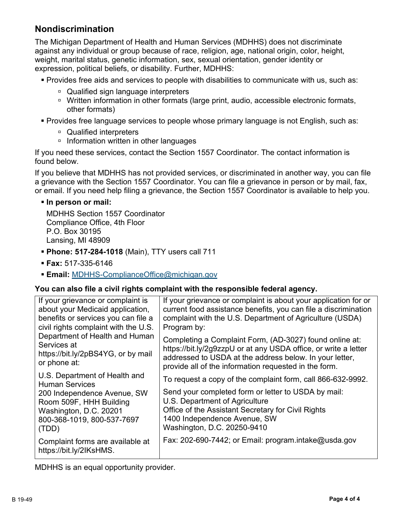## **Nondiscrimination**

The Michigan Department of Health and Human Services (MDHHS) does not discriminate against any individual or group because of race, religion, age, national origin, color, height, weight, marital status, genetic information, sex, sexual orientation, gender identity or expression, political beliefs, or disability. Further, MDHHS:

- Provides free aids and services to people with disabilities to communicate with us, such as:
	- □ Qualified sign language interpreters
	- □ Written information in other formats (large print, audio, accessible electronic formats, other formats)
- Provides free language services to people whose primary language is not English, such as:
	- □ Qualified interpreters
	- □ Information written in other languages

If you need these services, contact the Section 1557 Coordinator. The contact information is found below.

If you believe that MDHHS has not provided services, or discriminated in another way, you can file a grievance with the Section 1557 Coordinator. You can file a grievance in person or by mail, fax, or email. If you need help filing a grievance, the Section 1557 Coordinator is available to help you.

#### **In person or mail:**

MDHHS Section 1557 Coordinator Compliance Office, 4th Floor P.O. Box 30195 Lansing, MI 48909

- **Phone: 517-284-1018** (Main), TTY users call 711
- **Fax:** 517-335-6146
- **Email:** [MDHHS-ComplianceOffice@michigan.gov](mailto:MDHHS-ComplianceOffice@michigan.gov)

#### **You can also file a civil rights complaint with the responsible federal agency.**

| If your grievance or complaint is                           | If your grievance or complaint is about your application for or |
|-------------------------------------------------------------|-----------------------------------------------------------------|
| about your Medicaid application,                            | current food assistance benefits, you can file a discrimination |
| benefits or services you can file a                         | complaint with the U.S. Department of Agriculture (USDA)        |
| civil rights complaint with the U.S.                        | Program by:                                                     |
| Department of Health and Human                              | Completing a Complaint Form, (AD-3027) found online at:         |
| Services at                                                 | https://bit.ly/2g9zzpU or at any USDA office, or write a letter |
| https://bit.ly/2pBS4YG, or by mail                          | addressed to USDA at the address below. In your letter,         |
| or phone at:                                                | provide all of the information requested in the form.           |
| U.S. Department of Health and<br><b>Human Services</b>      | To request a copy of the complaint form, call 866-632-9992.     |
| 200 Independence Avenue, SW                                 | Send your completed form or letter to USDA by mail:             |
| Room 509F, HHH Building                                     | U.S. Department of Agriculture                                  |
| Washington, D.C. 20201                                      | Office of the Assistant Secretary for Civil Rights              |
| 800-368-1019, 800-537-7697                                  | 1400 Independence Avenue, SW                                    |
| (TDD)                                                       | Washington, D.C. 20250-9410                                     |
| Complaint forms are available at<br>https://bit.ly/2IKsHMS. | Fax: 202-690-7442; or Email: program.intake@usda.gov            |

MDHHS is an equal opportunity provider.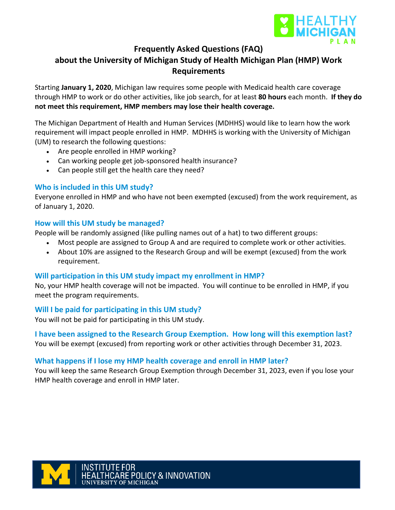

### **Frequently Asked Questions (FAQ)**

## **about the University of Michigan Study of Health Michigan Plan (HMP) Work Requirements**

Starting **January 1, 2020**, Michigan law requires some people with Medicaid health care coverage through HMP to work or do other activities, like job search, for at least **80 hours** each month. **If they do not meet this requirement, HMP members may lose their health coverage.**

The Michigan Department of Health and Human Services (MDHHS) would like to learn how the work requirement will impact people enrolled in HMP. MDHHS is working with the University of Michigan (UM) to research the following questions:

- Are people enrolled in HMP working?
- Can working people get job-sponsored health insurance?
- Can people still get the health care they need?

### **Who is included in this UM study?**

Everyone enrolled in HMP and who have not been exempted (excused) from the work requirement, as of January 1, 2020.

#### **How will this UM study be managed?**

People will be randomly assigned (like pulling names out of a hat) to two different groups:

- Most people are assigned to Group A and are required to complete work or other activities.
- About 10% are assigned to the Research Group and will be exempt (excused) from the work requirement.

#### **Will participation in this UM study impact my enrollment in HMP?**

No, your HMP health coverage will not be impacted. You will continue to be enrolled in HMP, if you meet the program requirements.

#### **Will I be paid for participating in this UM study?**

You will not be paid for participating in this UM study.

**I have been assigned to the Research Group Exemption. How long will this exemption last?** You will be exempt (excused) from reporting work or other activities through December 31, 2023.

### **What happens if I lose my HMP health coverage and enroll in HMP later?**

You will keep the same Research Group Exemption through December 31, 2023, even if you lose your HMP health coverage and enroll in HMP later.